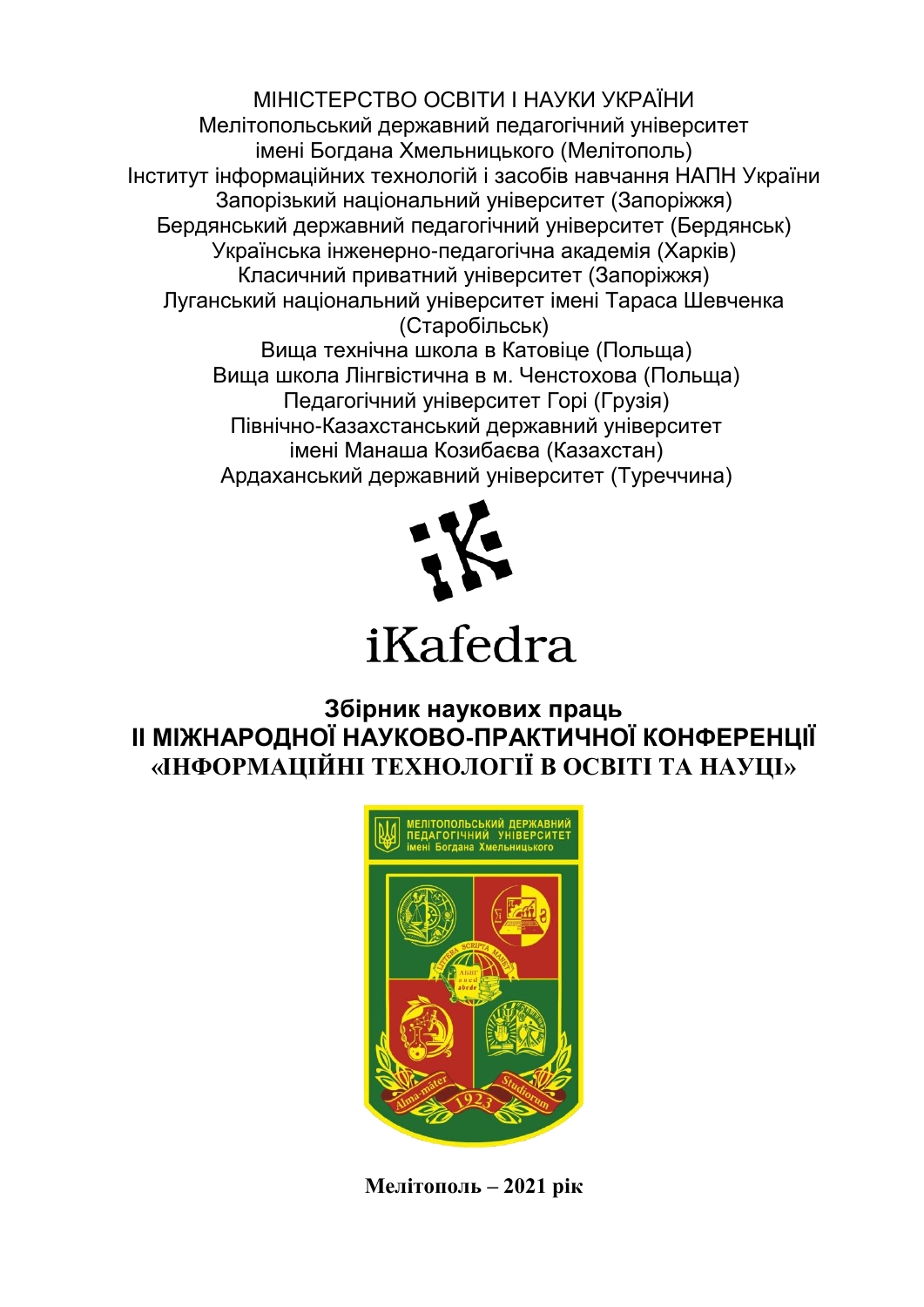МІНІСТЕРСТВО ОСВІТИ І НАУКИ УКРАЇНИ Мелітопольський державний педагогічний університет імені Богдана Хмельницького (Мелітополь) Інститут інформаційних технологій і засобів навчання НАПН України Запорізький національний університет (Запоріжжя) Бердянський державний педагогічний університет (Бердянськ) Українська інженерно-педагогічна академія (Харків) Класичний приватний університет (Запоріжжя) Луганський національний університет імені Тараса Шевченка (Старобільськ) Вища технічна школа в Катовіце (Польща) Вища школа Лінгвістична в м. Ченстохова (Польща) Педагогічний університет Горі (Грузія)

Північно-Казахстанський державний університет імені Манаша Козибаєва (Казахстан) Ардаханський державний університет (Туреччина)



# iKafedra

## **Збірник наукових праць ІІ МІЖНАРОДНОЇ НАУКОВО-ПРАКТИЧНОЇ КОНФЕРЕНЦІЇ «ІНФОРМАЦІЙНІ ТЕХНОЛОГІЇ В ОСВІТІ ТА НАУЦІ»**



**Мелітополь – 2021 рік**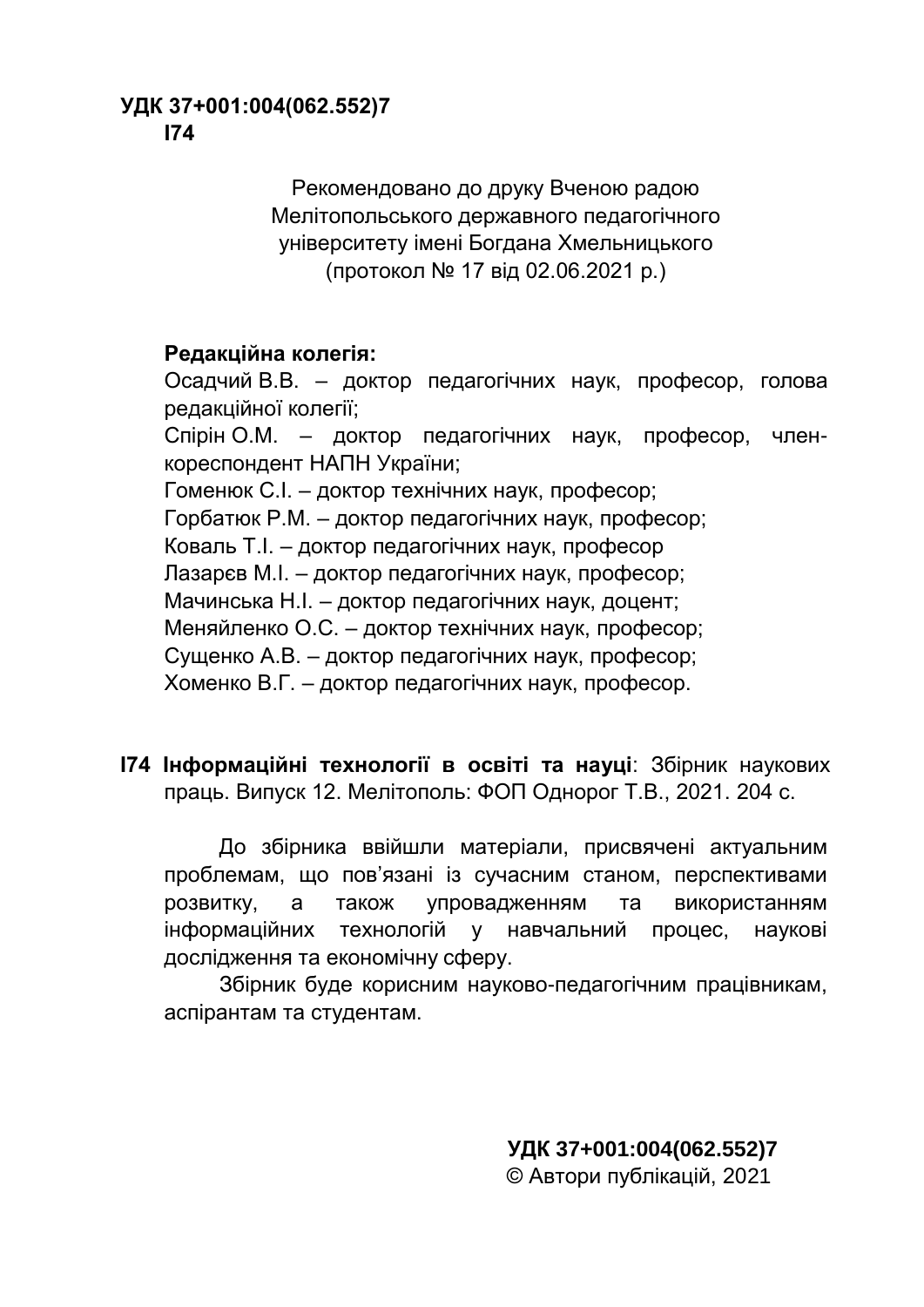#### **УДК 37+001:004(062.552)7 І74**

Рекомендовано до друку Вченою радою Мелітопольського державного педагогічного університету імені Богдана Хмельницького (протокол № 17 від 02.06.2021 р.)

#### **Редакційна колегія:**

Осадчий В.В. – доктор педагогічних наук, професор, голова редакційної колегії; Спірін О.М. – доктор педагогічних наук, професор, членкореспондент НАПН України; Гоменюк С.І. – доктор технічних наук, професор; Горбатюк Р.М. – доктор педагогічних наук, професор; Коваль Т.І. – доктор педагогічних наук, професор Лазарєв М.І. – доктор педагогічних наук, професор; Мачинська Н.І. – доктор педагогічних наук, доцент; Меняйленко О.С. – доктор технічних наук, професор; Сущенко А.В. – доктор педагогічних наук, професор; Хоменко В.Г. – доктор педагогічних наук, професор.

**І74 Інформаційні технології в освіті та науці**: Збірник наукових праць. Випуск 12. Мелітополь: ФОП Однорог Т.В., 2021. 204 с.

До збірника ввійшли матеріали, присвячені актуальним проблемам, що пов'язані із сучасним станом, перспективами розвитку, а також упровадженням та використанням інформаційних технологій у навчальний процес, наукові дослідження та економічну сферу.

Збірник буде корисним науково-педагогічним працівникам, аспірантам та студентам.

> **УДК 37+001:004(062.552)7** © Автори публікацій, 2021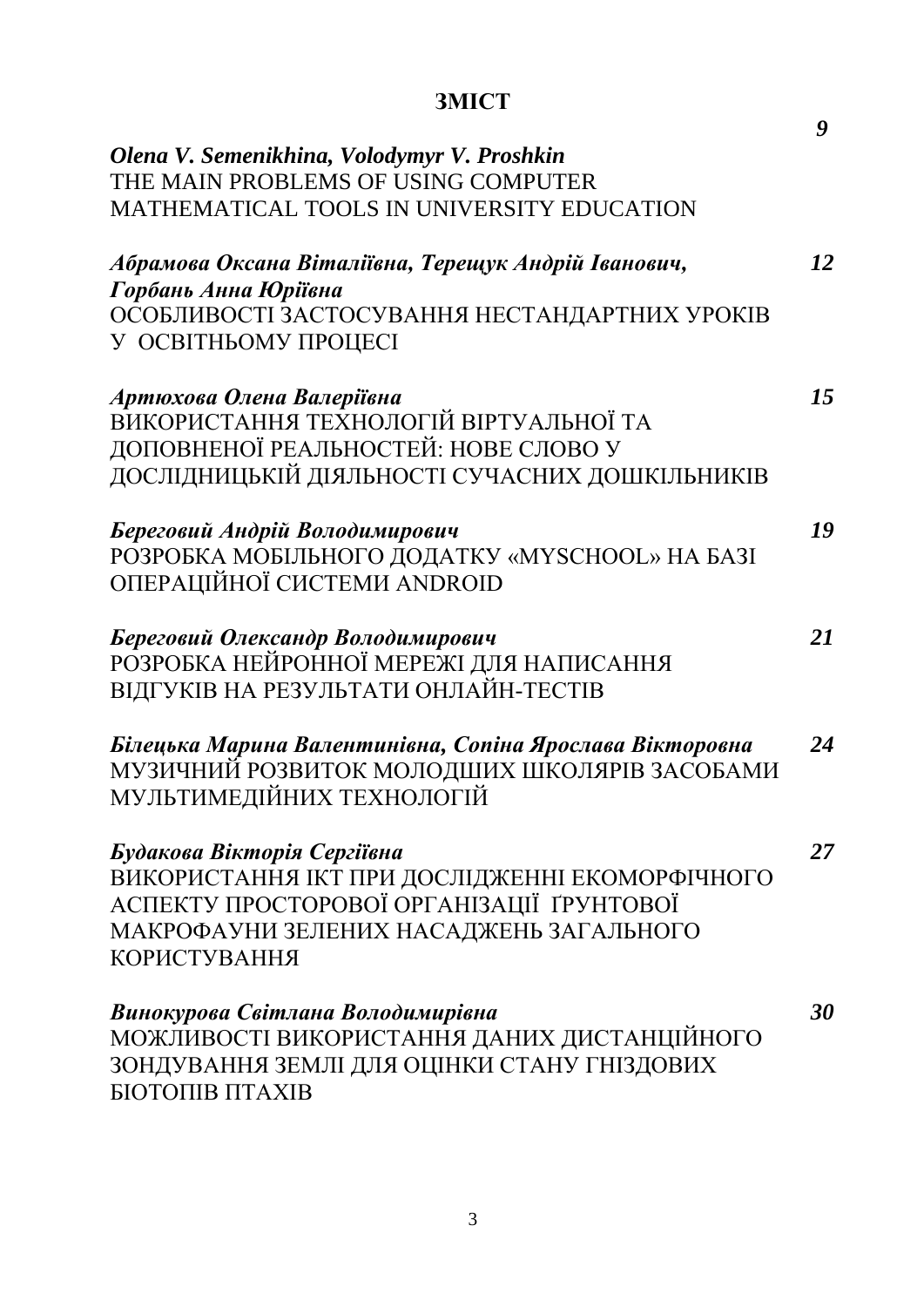# **ЗМІСТ**

|                                                          | 9  |
|----------------------------------------------------------|----|
| Olena V. Semenikhina, Volodymyr V. Proshkin              |    |
| THE MAIN PROBLEMS OF USING COMPUTER                      |    |
| <b>MATHEMATICAL TOOLS IN UNIVERSITY EDUCATION</b>        |    |
| Абрамова Оксана Віталіївна, Терещук Андрій Іванович,     | 12 |
| Горбань Анна Юріївна                                     |    |
| ОСОБЛИВОСТІ ЗАСТОСУВАННЯ НЕСТАНДАРТНИХ УРОКІВ            |    |
| У ОСВІТНЬОМУ ПРОЦЕСІ                                     |    |
| Артюхова Олена Валеріївна                                | 15 |
| ВИКОРИСТАННЯ ТЕХНОЛОГІЙ ВІРТУАЛЬНОЇ ТА                   |    |
| ДОПОВНЕНОЇ РЕАЛЬНОСТЕЙ: НОВЕ СЛОВО У                     |    |
| ДОСЛІДНИЦЬКІЙ ДІЯЛЬНОСТІ СУЧАСНИХ ДОШКІЛЬНИКІВ           |    |
| Береговий Андрій Володимирович                           | 19 |
| РОЗРОБКА МОБІЛЬНОГО ДОДАТКУ «MYSCHOOL» НА БАЗІ           |    |
| ОПЕРАЦІЙНОЇ СИСТЕМИ ANDROID                              |    |
| Береговий Олександр Володимирович                        | 21 |
| РОЗРОБКА НЕЙРОННОЇ МЕРЕЖІ ДЛЯ НАПИСАННЯ                  |    |
| ВІДГУКІВ НА РЕЗУЛЬТАТИ ОНЛАЙН-ТЕСТІВ                     |    |
| Білецька Марина Валентинівна, Сопіна Ярослава Вікторовна | 24 |
| МУЗИЧНИЙ РОЗВИТОК МОЛОДШИХ ШКОЛЯРІВ ЗАСОБАМИ             |    |
| МУЛЬТИМЕДІЙНИХ ТЕХНОЛОГІЙ                                |    |
| Будакова Вікторія Сергіївна                              | 27 |
| ВИКОРИСТАННЯ ІКТ ПРИ ДОСЛІДЖЕННІ ЕКОМОРФІЧНОГО           |    |
| АСПЕКТУ ПРОСТОРОВОЇ ОРГАНІЗАЦІЇ ҐРУНТОВОЇ                |    |
| МАКРОФАУНИ ЗЕЛЕНИХ НАСАДЖЕНЬ ЗАГАЛЬНОГО                  |    |
| <b>КОРИСТУВАННЯ</b>                                      |    |
| Винокурова Світлана Володимирівна                        | 30 |
| МОЖЛИВОСТІ ВИКОРИСТАННЯ ДАНИХ ДИСТАНЦІЙНОГО              |    |
| ЗОНДУВАННЯ ЗЕМЛІ ДЛЯ ОЦІНКИ СТАНУ ГНІЗДОВИХ              |    |
| <b>БІОТОПІВ ПТАХІВ</b>                                   |    |
|                                                          |    |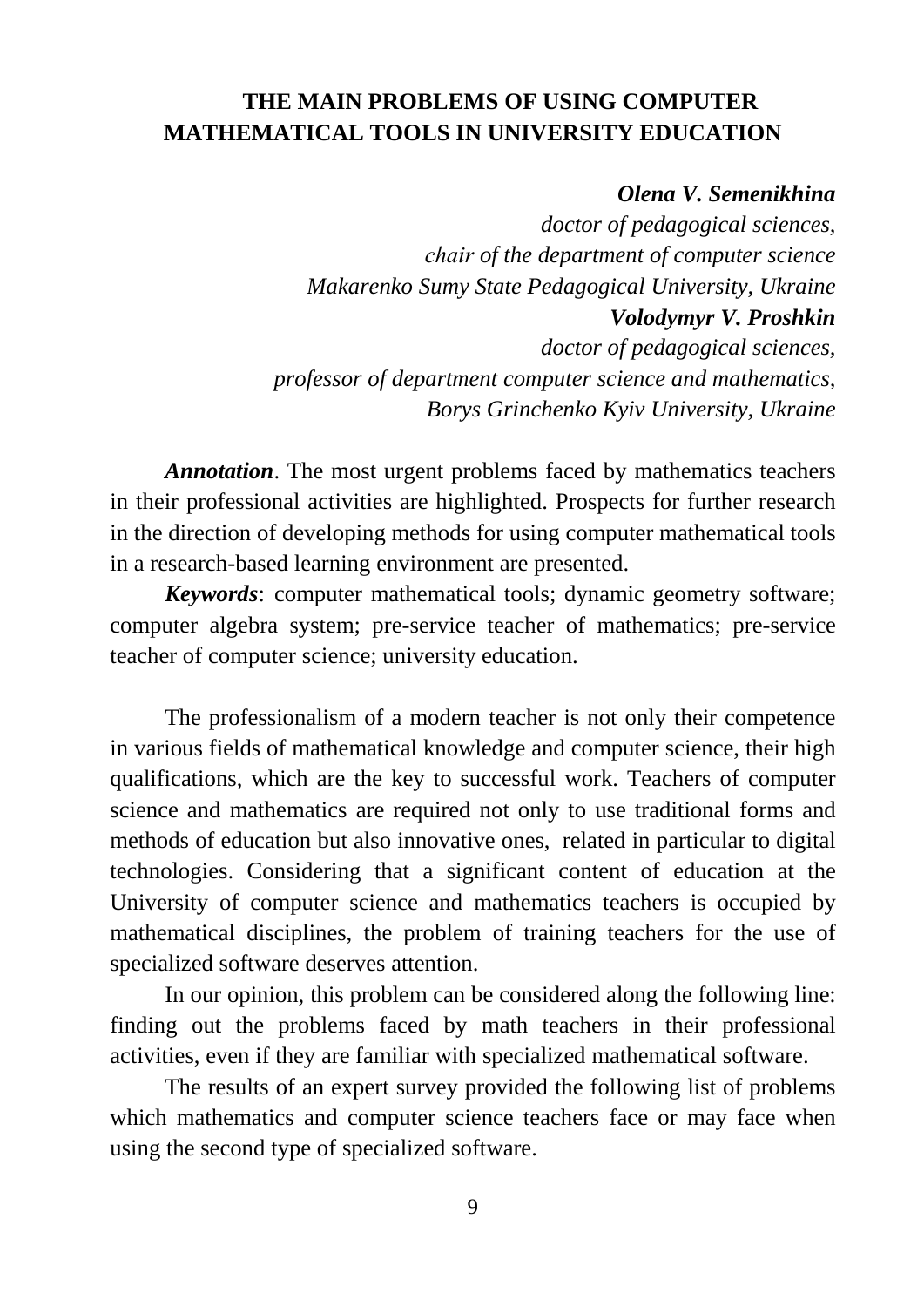### **THE MAIN PROBLEMS OF USING COMPUTER MATHEMATICAL TOOLS IN UNIVERSITY EDUCATION**

#### *Olena V. Semenikhina*

*doctor of pedagogical sciences, сhair of the department of computer science Makarenko Sumy State Pedagogical University, Ukraine Volodymyr V. Proshkin doctor of pedagogical sciences, professor of department computer science and mathematics, Borys Grinchenko Kyiv University, Ukraine*

*Annotation*. The most urgent problems faced by mathematics teachers in their professional activities are highlighted. Prospects for further research in the direction of developing methods for using computer mathematical tools in a research-based learning environment are presented.

*Keywords*: computer mathematical tools; dynamic geometry software; computer algebra system; pre-service teacher of mathematics; pre-service teacher of computer science; university education.

The professionalism of a modern teacher is not only their competence in various fields of mathematical knowledge and computer science, their high qualifications, which are the key to successful work. Teachers of computer science and mathematics are required not only to use traditional forms and methods of education but also innovative ones, related in particular to digital technologies. Considering that a significant content of education at the University of computer science and mathematics teachers is occupied by mathematical disciplines, the problem of training teachers for the use of specialized software deserves attention.

In our opinion, this problem can be considered along the following line: finding out the problems faced by math teachers in their professional activities, even if they are familiar with specialized mathematical software.

The results of an expert survey provided the following list of problems which mathematics and computer science teachers face or may face when using the second type of specialized software.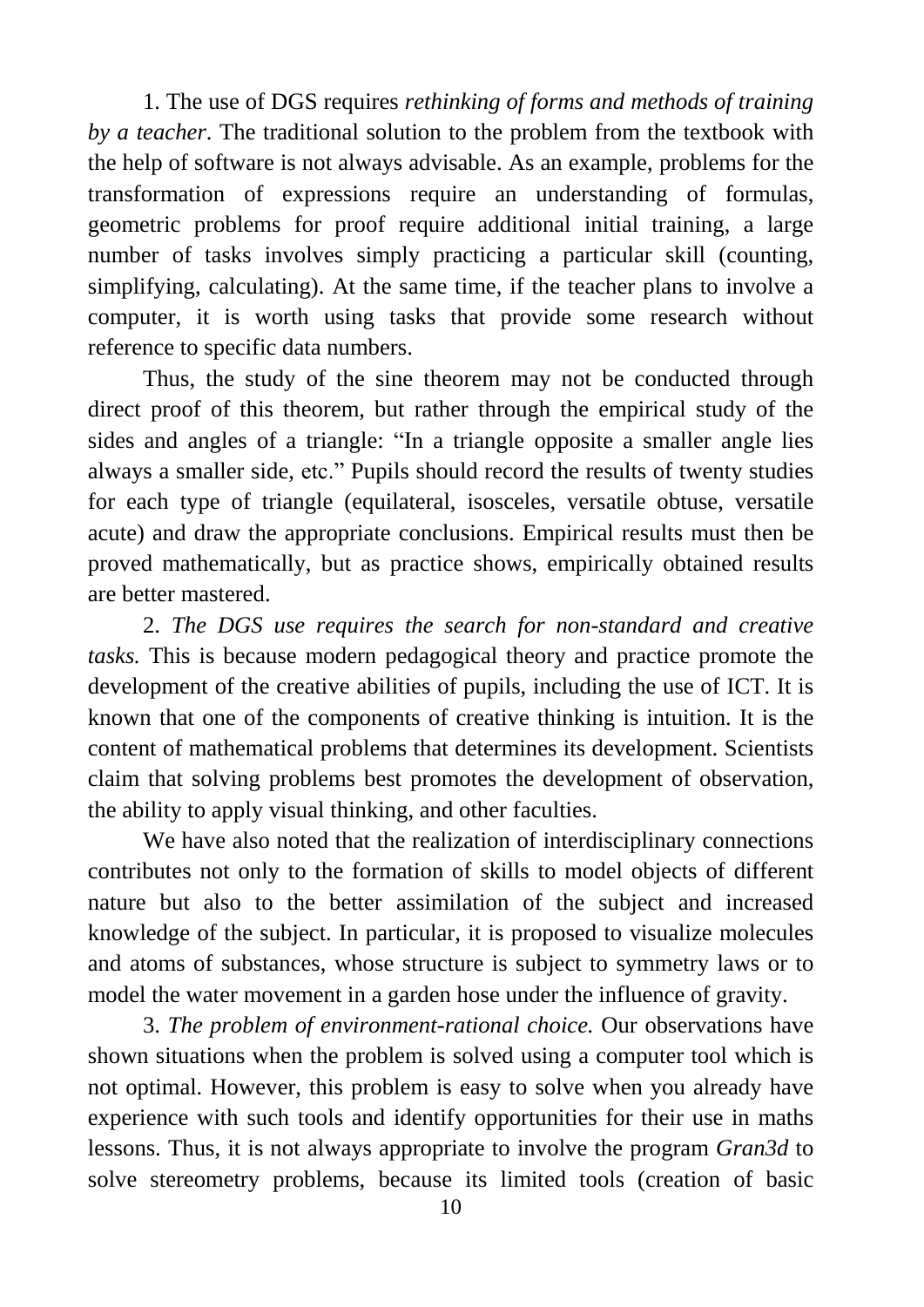1. The use of DGS requires *rethinking of forms and methods of training by a teacher*. The traditional solution to the problem from the textbook with the help of software is not always advisable. As an example, problems for the transformation of expressions require an understanding of formulas, geometric problems for proof require additional initial training, a large number of tasks involves simply practicing a particular skill (counting, simplifying, calculating). At the same time, if the teacher plans to involve a computer, it is worth using tasks that provide some research without reference to specific data numbers.

Thus, the study of the sine theorem may not be conducted through direct proof of this theorem, but rather through the empirical study of the sides and angles of a triangle: "In a triangle opposite a smaller angle lies always a smaller side, etc." Pupils should record the results of twenty studies for each type of triangle (equilateral, isosceles, versatile obtuse, versatile acute) and draw the appropriate conclusions. Empirical results must then be proved mathematically, but as practice shows, empirically obtained results are better mastered.

2. *The DGS use requires the search for non-standard and creative tasks.* This is because modern pedagogical theory and practice promote the development of the creative abilities of pupils, including the use of ICT. It is known that one of the components of creative thinking is intuition. It is the content of mathematical problems that determines its development. Scientists claim that solving problems best promotes the development of observation, the ability to apply visual thinking, and other faculties.

We have also noted that the realization of interdisciplinary connections contributes not only to the formation of skills to model objects of different nature but also to the better assimilation of the subject and increased knowledge of the subject. In particular, it is proposed to visualize molecules and atoms of substances, whose structure is subject to symmetry laws or to model the water movement in a garden hose under the influence of gravity.

3. *The problem of environment-rational choice.* Our observations have shown situations when the problem is solved using a computer tool which is not optimal. However, this problem is easy to solve when you already have experience with such tools and identify opportunities for their use in maths lessons. Thus, it is not always appropriate to involve the program *Gran3d* to solve stereometry problems, because its limited tools (creation of basic